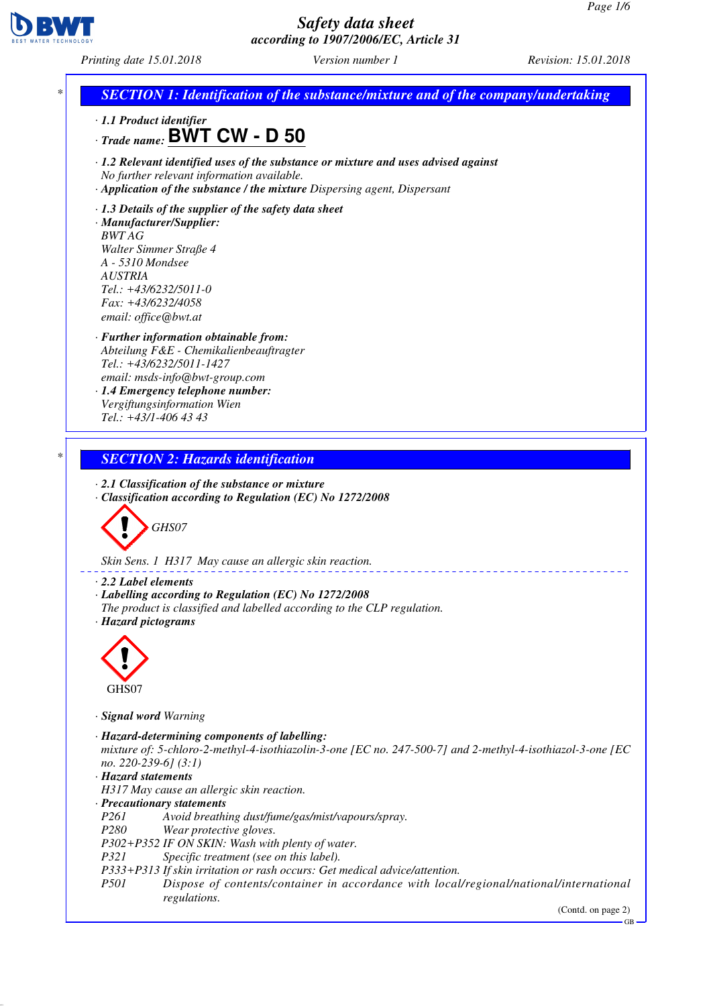

*Printing date 15.01.2018 Version number 1 Revision: 15.01.2018*

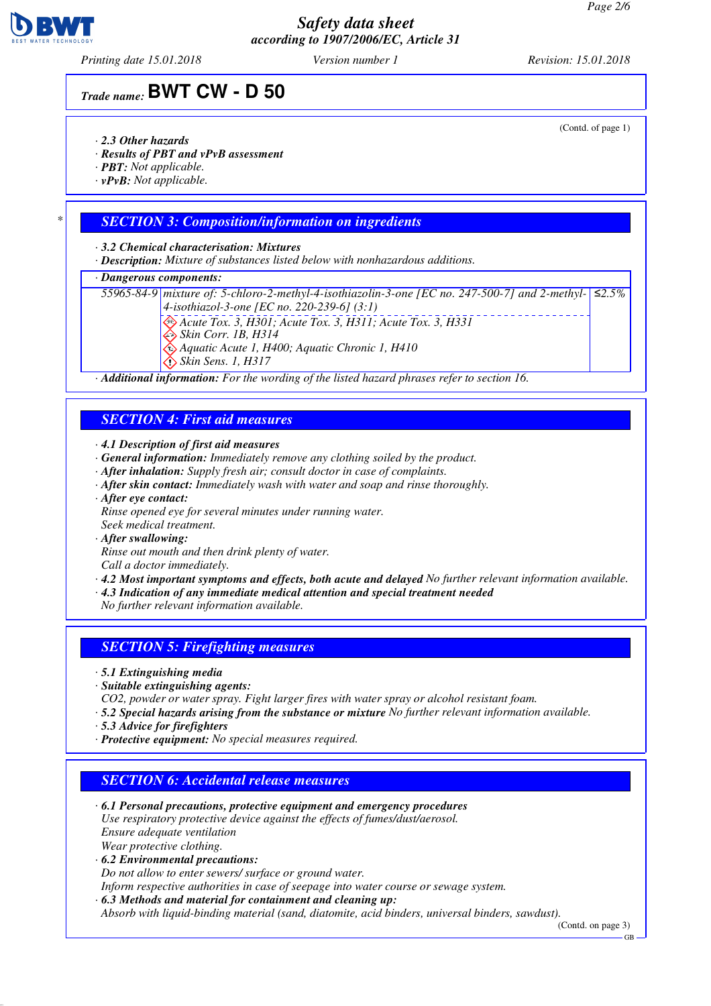

*Printing date 15.01.2018 Version number 1 Revision: 15.01.2018*

# *Trade name:* **BWT CW - D 50**

- *· 2.3 Other hazards*
- *· Results of PBT and vPvB assessment*
- *· PBT: Not applicable.*
- *· vPvB: Not applicable.*

### *\* SECTION 3: Composition/information on ingredients*

*· 3.2 Chemical characterisation: Mixtures*

*· Description: Mixture of substances listed below with nonhazardous additions.*

#### *· Dangerous components:*

*55965-84-9 mixture of: 5-chloro-2-methyl-4-isothiazolin-3-one [EC no. 247-500-7] and 2-methyl-4-isothiazol-3-one [EC no. 220-239-6] (3:1) Acute Tox. 3, H301; Acute Tox. 3, H311; Acute Tox. 3, H331 Skin Corr. 1B, H314 Aquatic Acute 1, H400; Aquatic Chronic 1, H410 Skin Sens. 1, H317 ≤2.5%*

*· Additional information: For the wording of the listed hazard phrases refer to section 16.*

### *SECTION 4: First aid measures*

- *· 4.1 Description of first aid measures*
- *· General information: Immediately remove any clothing soiled by the product.*
- *· After inhalation: Supply fresh air; consult doctor in case of complaints.*
- *· After skin contact: Immediately wash with water and soap and rinse thoroughly.*
- *· After eye contact:*
- *Rinse opened eye for several minutes under running water.*
- *Seek medical treatment.*
- *· After swallowing:*
- *Rinse out mouth and then drink plenty of water.*
- *Call a doctor immediately. · 4.2 Most important symptoms and effects, both acute and delayed No further relevant information available.*
- *· 4.3 Indication of any immediate medical attention and special treatment needed*

*No further relevant information available.*

#### *SECTION 5: Firefighting measures*

- *· 5.1 Extinguishing media*
- *· Suitable extinguishing agents:*
- *CO2, powder or water spray. Fight larger fires with water spray or alcohol resistant foam.*
- *· 5.2 Special hazards arising from the substance or mixture No further relevant information available.*
- *· 5.3 Advice for firefighters*
- *· Protective equipment: No special measures required.*

## *SECTION 6: Accidental release measures*

- *· 6.1 Personal precautions, protective equipment and emergency procedures Use respiratory protective device against the effects of fumes/dust/aerosol. Ensure adequate ventilation*
- *Wear protective clothing.*
- *· 6.2 Environmental precautions:*
- *Do not allow to enter sewers/ surface or ground water.*
- *Inform respective authorities in case of seepage into water course or sewage system.*
- *· 6.3 Methods and material for containment and cleaning up:*
- *Absorb with liquid-binding material (sand, diatomite, acid binders, universal binders, sawdust).*

(Contd. on page 3)

#### (Contd. of page 1)

GB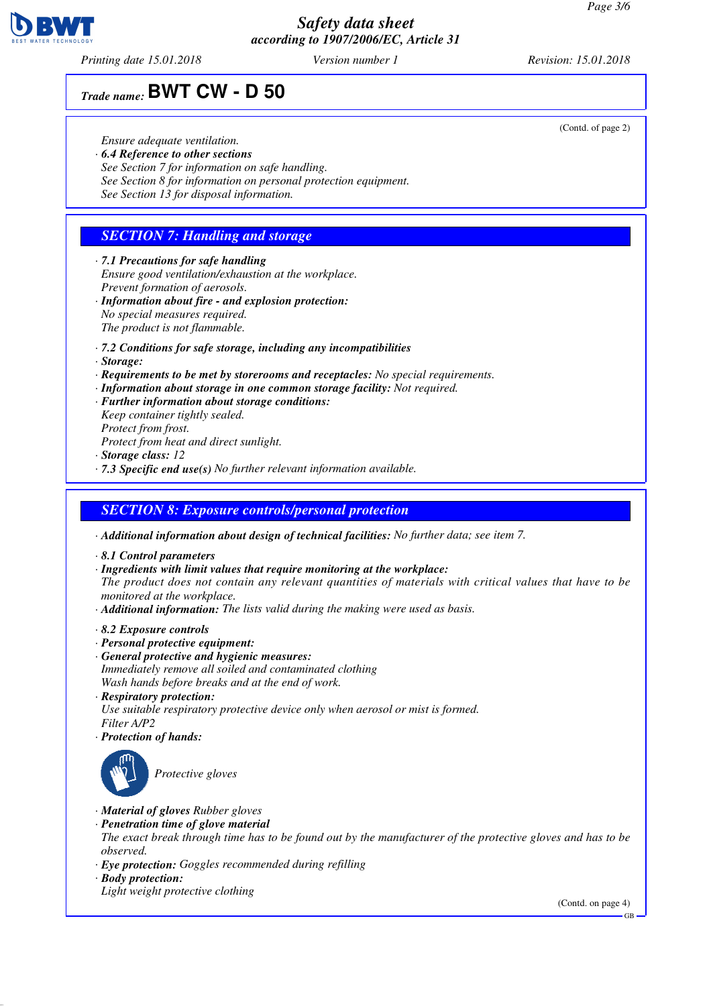

*Printing date 15.01.2018 Version number 1 Revision: 15.01.2018*

# *Trade name:* **BWT CW - D 50**

#### *Ensure adequate ventilation.*

- *· 6.4 Reference to other sections*
- *See Section 7 for information on safe handling.*
- *See Section 8 for information on personal protection equipment.*
- *See Section 13 for disposal information.*

## *SECTION 7: Handling and storage*

- *· 7.1 Precautions for safe handling Ensure good ventilation/exhaustion at the workplace. Prevent formation of aerosols.*
- *· Information about fire and explosion protection: No special measures required. The product is not flammable.*
- *· 7.2 Conditions for safe storage, including any incompatibilities*
- *· Storage:*
- *· Requirements to be met by storerooms and receptacles: No special requirements.*
- *· Information about storage in one common storage facility: Not required.*
- *· Further information about storage conditions: Keep container tightly sealed.*
- *Protect from frost.*
- *Protect from heat and direct sunlight.*
- *· Storage class: 12*
- *· 7.3 Specific end use(s) No further relevant information available.*

#### *SECTION 8: Exposure controls/personal protection*

- *· Additional information about design of technical facilities: No further data; see item 7.*
- *· 8.1 Control parameters*
- *· Ingredients with limit values that require monitoring at the workplace:*

*The product does not contain any relevant quantities of materials with critical values that have to be monitored at the workplace.*

- *· Additional information: The lists valid during the making were used as basis.*
- *· 8.2 Exposure controls*
- *· Personal protective equipment:*
- *· General protective and hygienic measures: Immediately remove all soiled and contaminated clothing Wash hands before breaks and at the end of work.*
- *· Respiratory protection: Use suitable respiratory protective device only when aerosol or mist is formed. Filter A/P2*
- *· Protection of hands:*



*Protective gloves*

- *· Material of gloves Rubber gloves*
- *· Penetration time of glove material*
- *The exact break through time has to be found out by the manufacturer of the protective gloves and has to be observed.*
- *· Eye protection: Goggles recommended during refilling*
- *· Body protection:*
- *Light weight protective clothing*

(Contd. on page 4)

(Contd. of page 2)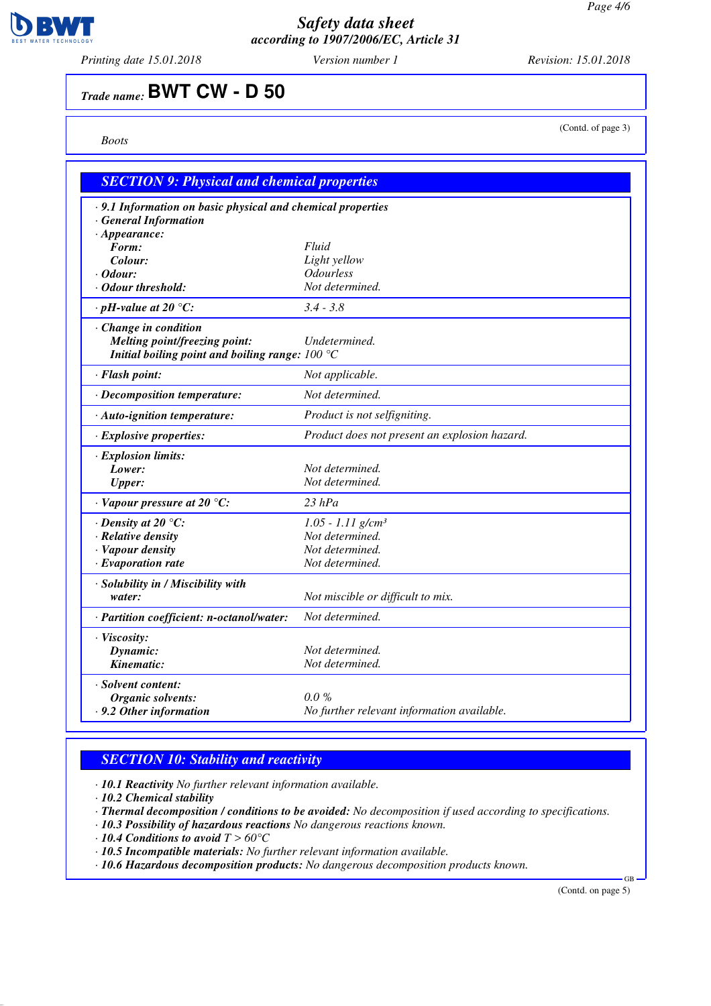

*Printing date 15.01.2018 Version number 1 Revision: 15.01.2018*

# *Trade name:* **BWT CW - D 50**

*Boots*

(Contd. of page 3)

| <b>SECTION 9: Physical and chemical properties</b>          |                                               |
|-------------------------------------------------------------|-----------------------------------------------|
| · 9.1 Information on basic physical and chemical properties |                                               |
| · General Information                                       |                                               |
| $\cdot$ Appearance:                                         |                                               |
| Form:                                                       | Fluid                                         |
| Colour:                                                     | Light yellow                                  |
| · Odour:                                                    | <b>Odourless</b>                              |
| · Odour threshold:                                          | Not determined.                               |
| $\cdot$ pH-value at 20 $\degree$ C:                         | $3.4 - 3.8$                                   |
| $\cdot$ Change in condition                                 |                                               |
| <b>Melting point/freezing point:</b>                        | Undetermined.                                 |
| Initial boiling point and boiling range: $100 °C$           |                                               |
| · Flash point:                                              | Not applicable.                               |
| · Decomposition temperature:                                | Not determined.                               |
| · Auto-ignition temperature:                                | Product is not selfigniting.                  |
| · Explosive properties:                                     | Product does not present an explosion hazard. |
| · Explosion limits:                                         |                                               |
| Lower:                                                      | Not determined.                               |
| <b>Upper:</b>                                               | Not determined.                               |
| $\cdot$ Vapour pressure at 20 °C:                           | $23$ $hPa$                                    |
| $\cdot$ Density at 20 °C:                                   | $1.05 - 1.11$ g/cm <sup>3</sup>               |
| · Relative density                                          | Not determined.                               |
| · Vapour density                                            | Not determined.                               |
| $\cdot$ Evaporation rate                                    | Not determined.                               |
| · Solubility in / Miscibility with                          |                                               |
| water:                                                      | Not miscible or difficult to mix.             |
| · Partition coefficient: n-octanol/water:                   | Not determined.                               |
| · Viscosity:                                                |                                               |
| Dynamic:                                                    | Not determined.                               |
| Kinematic:                                                  | Not determined.                               |
| · Solvent content:                                          |                                               |
| <b>Organic solvents:</b>                                    | $0.0\%$                                       |
| $\cdot$ 9.2 Other information                               | No further relevant information available.    |

## *SECTION 10: Stability and reactivity*

*· 10.1 Reactivity No further relevant information available.*

*· 10.2 Chemical stability*

- *· Thermal decomposition / conditions to be avoided: No decomposition if used according to specifications.*
- *· 10.3 Possibility of hazardous reactions No dangerous reactions known.*
- *· 10.4 Conditions to avoid T > 60°C*
- *· 10.5 Incompatible materials: No further relevant information available.*
- *· 10.6 Hazardous decomposition products: No dangerous decomposition products known.*

(Contd. on page 5)

GB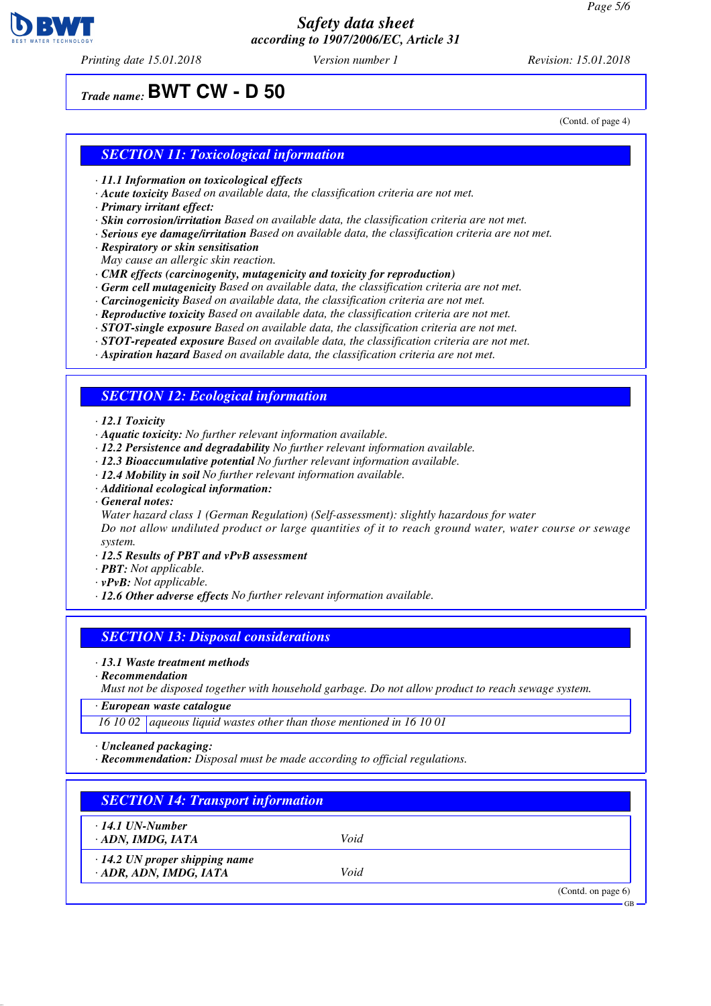

*Printing date 15.01.2018 Version number 1 Revision: 15.01.2018*

# *Trade name:* **BWT CW - D 50**

(Contd. of page 4)

#### *SECTION 11: Toxicological information*

- *· 11.1 Information on toxicological effects*
- *· Acute toxicity Based on available data, the classification criteria are not met.*
- *· Primary irritant effect:*
- *· Skin corrosion/irritation Based on available data, the classification criteria are not met.*
- *· Serious eye damage/irritation Based on available data, the classification criteria are not met.*
- *· Respiratory or skin sensitisation*
- *May cause an allergic skin reaction.*
- *· CMR effects (carcinogenity, mutagenicity and toxicity for reproduction)*
- *· Germ cell mutagenicity Based on available data, the classification criteria are not met.*
- *· Carcinogenicity Based on available data, the classification criteria are not met.*
- *· Reproductive toxicity Based on available data, the classification criteria are not met.*
- *· STOT-single exposure Based on available data, the classification criteria are not met.*
- *· STOT-repeated exposure Based on available data, the classification criteria are not met.*
- *· Aspiration hazard Based on available data, the classification criteria are not met.*

#### *SECTION 12: Ecological information*

- *· 12.1 Toxicity*
- *· Aquatic toxicity: No further relevant information available.*
- *· 12.2 Persistence and degradability No further relevant information available.*
- *· 12.3 Bioaccumulative potential No further relevant information available.*
- *· 12.4 Mobility in soil No further relevant information available.*
- *· Additional ecological information:*
- *· General notes:*

*Water hazard class 1 (German Regulation) (Self-assessment): slightly hazardous for water*

*Do not allow undiluted product or large quantities of it to reach ground water, water course or sewage system.*

- *· 12.5 Results of PBT and vPvB assessment*
- *· PBT: Not applicable.*
- *· vPvB: Not applicable.*
- *· 12.6 Other adverse effects No further relevant information available.*

#### *SECTION 13: Disposal considerations*

*· 13.1 Waste treatment methods*

*· Recommendation*

*Must not be disposed together with household garbage. Do not allow product to reach sewage system.*

*· European waste catalogue*

*16 10 02 aqueous liquid wastes other than those mentioned in 16 10 01*

*· Uncleaned packaging:*

*· Recommendation: Disposal must be made according to official regulations.*

| $\cdot$ 14.1 UN-Number               |      |  |
|--------------------------------------|------|--|
| ADN, IMDG, IATA                      | Void |  |
| $\cdot$ 14.2 UN proper shipping name |      |  |
| · ADR, ADN, IMDG, IATA               | Void |  |